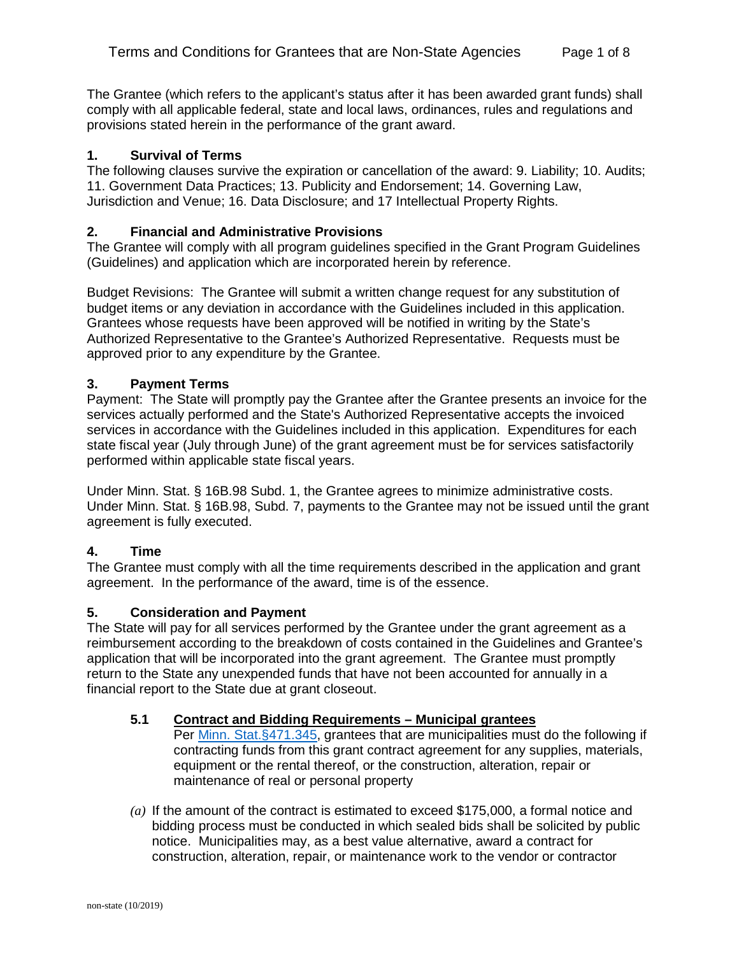The Grantee (which refers to the applicant's status after it has been awarded grant funds) shall comply with all applicable federal, state and local laws, ordinances, rules and regulations and provisions stated herein in the performance of the grant award.

## **1. Survival of Terms**

The following clauses survive the expiration or cancellation of the award: 9. Liability; 10. Audits; 11. Government Data Practices; 13. Publicity and Endorsement; 14. Governing Law, Jurisdiction and Venue; 16. Data Disclosure; and 17 Intellectual Property Rights.

### **2. Financial and Administrative Provisions**

The Grantee will comply with all program guidelines specified in the Grant Program Guidelines (Guidelines) and application which are incorporated herein by reference.

Budget Revisions: The Grantee will submit a written change request for any substitution of budget items or any deviation in accordance with the Guidelines included in this application. Grantees whose requests have been approved will be notified in writing by the State's Authorized Representative to the Grantee's Authorized Representative. Requests must be approved prior to any expenditure by the Grantee.

### **3. Payment Terms**

Payment: The State will promptly pay the Grantee after the Grantee presents an invoice for the services actually performed and the State's Authorized Representative accepts the invoiced services in accordance with the Guidelines included in this application. Expenditures for each state fiscal year (July through June) of the grant agreement must be for services satisfactorily performed within applicable state fiscal years.

Under Minn. Stat. § 16B.98 Subd. 1, the Grantee agrees to minimize administrative costs. Under Minn. Stat. § 16B.98, Subd. 7, payments to the Grantee may not be issued until the grant agreement is fully executed.

# **4. Time**

The Grantee must comply with all the time requirements described in the application and grant agreement. In the performance of the award, time is of the essence.

#### **5. Consideration and Payment**

The State will pay for all services performed by the Grantee under the grant agreement as a reimbursement according to the breakdown of costs contained in the Guidelines and Grantee's application that will be incorporated into the grant agreement. The Grantee must promptly return to the State any unexpended funds that have not been accounted for annually in a financial report to the State due at grant closeout.

# **5.1 Contract and Bidding Requirements – Municipal grantees**

Per [Minn. Stat.§471.345,](https://www.revisor.leg.state.mn.us/statutes/?id=471.345) grantees that are municipalities must do the following if contracting funds from this grant contract agreement for any supplies, materials, equipment or the rental thereof, or the construction, alteration, repair or maintenance of real or personal property

*(a)* If the amount of the contract is estimated to exceed \$175,000, a formal notice and bidding process must be conducted in which sealed bids shall be solicited by public notice. Municipalities may, as a best value alternative, award a contract for construction, alteration, repair, or maintenance work to the vendor or contractor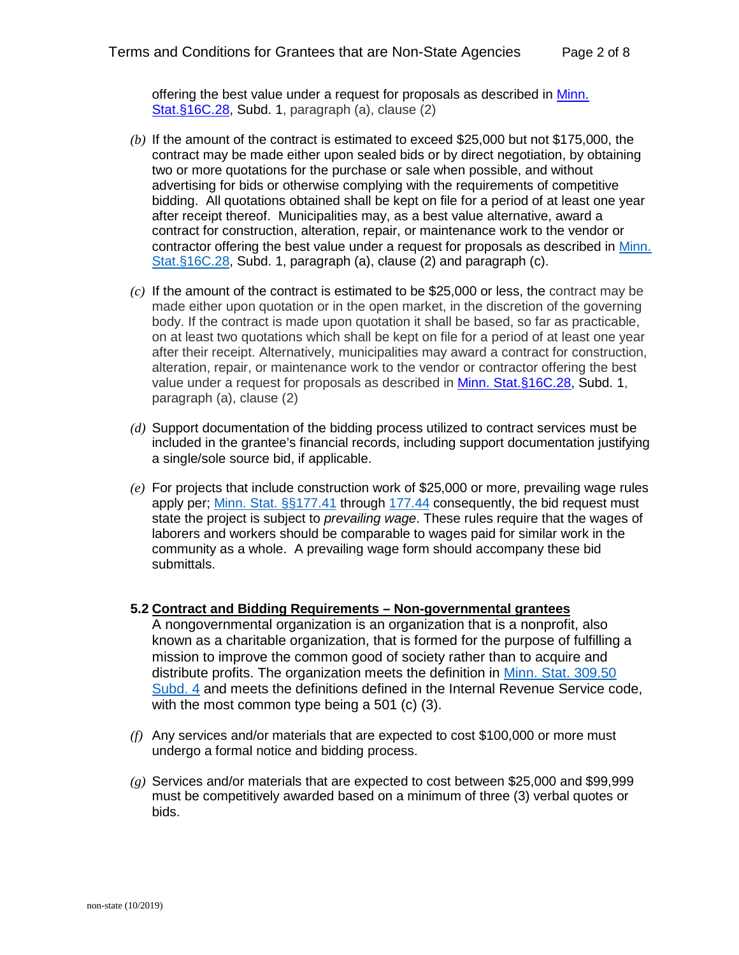offering the best value under a request for proposals as described in Minn. [Stat.§16C.28,](https://www.revisor.leg.state.mn.us/statutes/?id=16C.28) Subd. 1, paragraph (a), clause (2)

- *(b)* If the amount of the contract is estimated to exceed \$25,000 but not \$175,000, the contract may be made either upon sealed bids or by direct negotiation, by obtaining two or more quotations for the purchase or sale when possible, and without advertising for bids or otherwise complying with the requirements of competitive bidding. All quotations obtained shall be kept on file for a period of at least one year after receipt thereof. Municipalities may, as a best value alternative, award a contract for construction, alteration, repair, or maintenance work to the vendor or contractor offering the best value under a request for proposals as described in [Minn.](https://www.revisor.leg.state.mn.us/statutes/?id=16C.28)  [Stat.§16C.28,](https://www.revisor.leg.state.mn.us/statutes/?id=16C.28) Subd. 1, paragraph (a), clause (2) and paragraph (c).
- *(c)* If the amount of the contract is estimated to be \$25,000 or less, the contract may be made either upon quotation or in the open market, in the discretion of the governing body. If the contract is made upon quotation it shall be based, so far as practicable, on at least two quotations which shall be kept on file for a period of at least one year after their receipt. Alternatively, municipalities may award a contract for construction, alteration, repair, or maintenance work to the vendor or contractor offering the best value under a request for proposals as described in [Minn. Stat.§16C.28,](https://www.revisor.leg.state.mn.us/statutes/?id=16C.28) Subd. 1, paragraph (a), clause (2)
- *(d)* Support documentation of the bidding process utilized to contract services must be included in the grantee's financial records, including support documentation justifying a single/sole source bid, if applicable.
- *(e)* For projects that include construction work of \$25,000 or more, prevailing wage rules apply per; [Minn. Stat. §§177.41](https://www.revisor.leg.state.mn.us/statutes/?id=177.41) through [177.44](https://www.revisor.leg.state.mn.us/statutes/?id=177.44) consequently, the bid request must state the project is subject to *prevailing wage*. These rules require that the wages of laborers and workers should be comparable to wages paid for similar work in the community as a whole. A prevailing wage form should accompany these bid submittals.

#### **5.2 Contract and Bidding Requirements – Non-governmental grantees**

A nongovernmental organization is an organization that is a nonprofit, also known as a charitable organization, that is formed for the purpose of fulfilling a mission to improve the common good of society rather than to acquire and distribute profits. The organization meets the definition in [Minn. Stat. 309.50](https://www.revisor.leg.state.mn.us/statutes/?id=309.50#stat.309.50.4)  [Subd. 4](https://www.revisor.leg.state.mn.us/statutes/?id=309.50#stat.309.50.4) and meets the definitions defined in the Internal Revenue Service code, with the most common type being a 501 (c) (3).

- *(f)* Any services and/or materials that are expected to cost \$100,000 or more must undergo a formal notice and bidding process.
- *(g)* Services and/or materials that are expected to cost between \$25,000 and \$99,999 must be competitively awarded based on a minimum of three (3) verbal quotes or bids.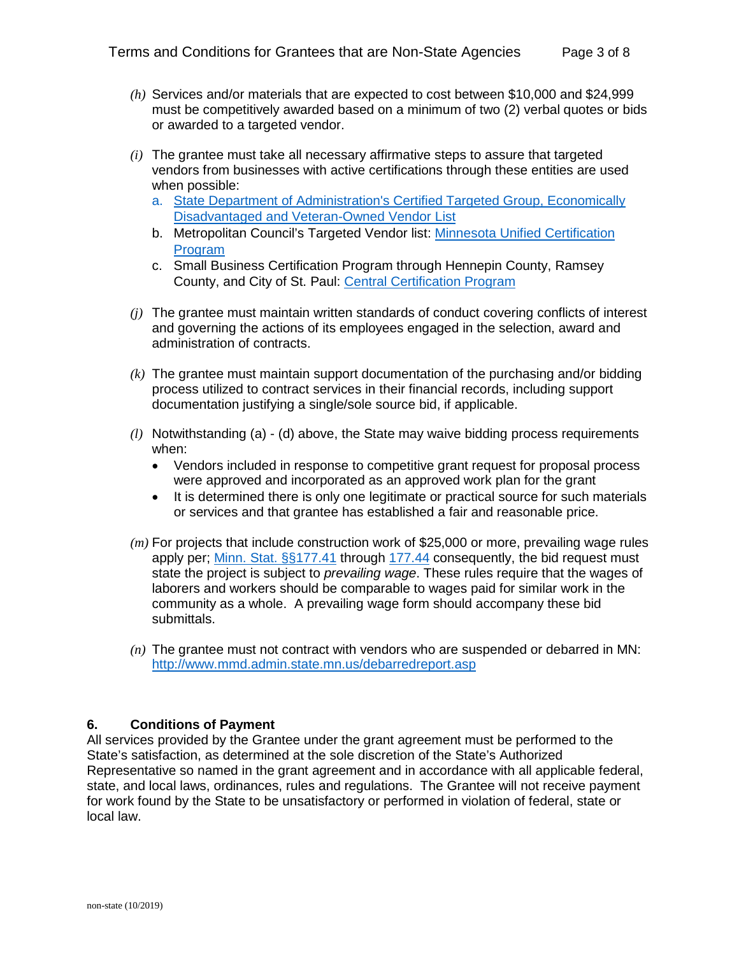- *(h)* Services and/or materials that are expected to cost between \$10,000 and \$24,999 must be competitively awarded based on a minimum of two (2) verbal quotes or bids or awarded to a targeted vendor.
- *(i)* The grantee must take all necessary affirmative steps to assure that targeted vendors from businesses with active certifications through these entities are used when possible:
	- a. [State Department of Administration's Certified Targeted Group, Economically](http://www.mmd.admin.state.mn.us/process/search/)  [Disadvantaged and Veteran-Owned Vendor List](http://www.mmd.admin.state.mn.us/process/search/)
	- b. Metropolitan Council's Targeted Vendor list: [Minnesota Unified Certification](https://mnucp.metc.state.mn.us/)  **[Program](https://mnucp.metc.state.mn.us/)**
	- c. Small Business Certification Program through Hennepin County, Ramsey County, and City of St. Paul: [Central Certification Program](https://www.stpaul.gov/departments/human-rights-equal-economic-opportunity/contract-compliance-business-development/central)
- *(j)* The grantee must maintain written standards of conduct covering conflicts of interest and governing the actions of its employees engaged in the selection, award and administration of contracts.
- *(k)* The grantee must maintain support documentation of the purchasing and/or bidding process utilized to contract services in their financial records, including support documentation justifying a single/sole source bid, if applicable.
- *(l)* Notwithstanding (a) (d) above, the State may waive bidding process requirements when:
	- Vendors included in response to competitive grant request for proposal process were approved and incorporated as an approved work plan for the grant
	- It is determined there is only one legitimate or practical source for such materials or services and that grantee has established a fair and reasonable price.
- *(m)* For projects that include construction work of \$25,000 or more, prevailing wage rules apply per; [Minn. Stat. §§177.41](https://www.revisor.leg.state.mn.us/statutes/?id=177.41) through [177.44](https://www.revisor.leg.state.mn.us/statutes/?id=177.44) consequently, the bid request must state the project is subject to *prevailing wage*. These rules require that the wages of laborers and workers should be comparable to wages paid for similar work in the community as a whole. A prevailing wage form should accompany these bid submittals.
- *(n)* The grantee must not contract with vendors who are suspended or debarred in MN: <http://www.mmd.admin.state.mn.us/debarredreport.asp>

# **6. Conditions of Payment**

All services provided by the Grantee under the grant agreement must be performed to the State's satisfaction, as determined at the sole discretion of the State's Authorized Representative so named in the grant agreement and in accordance with all applicable federal, state, and local laws, ordinances, rules and regulations. The Grantee will not receive payment for work found by the State to be unsatisfactory or performed in violation of federal, state or local law.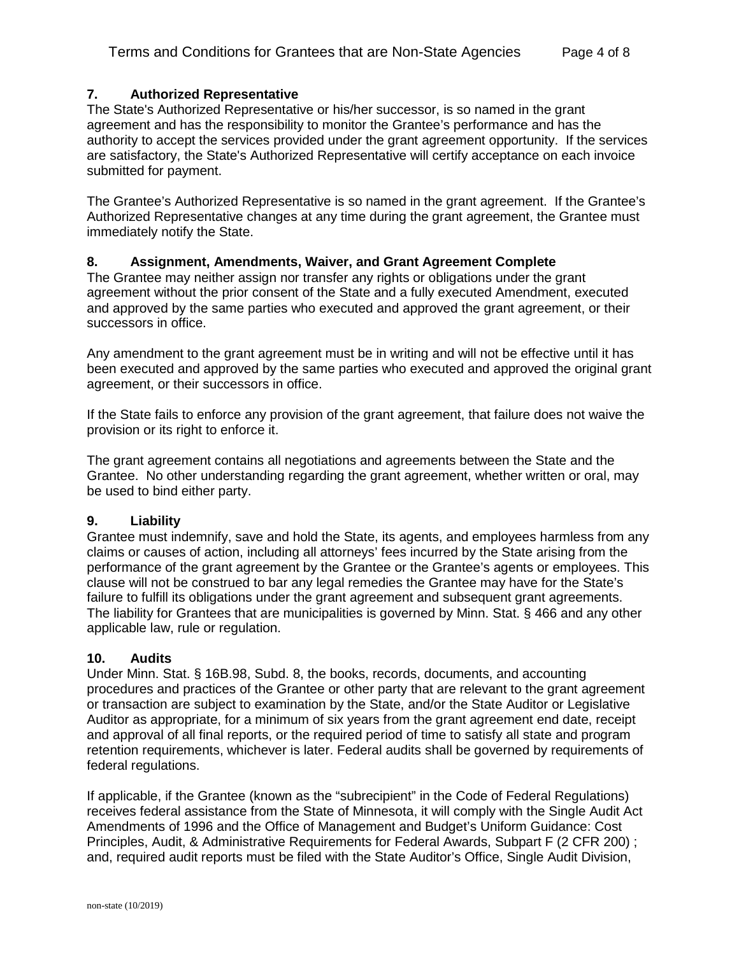# **7. Authorized Representative**

The State's Authorized Representative or his/her successor, is so named in the grant agreement and has the responsibility to monitor the Grantee's performance and has the authority to accept the services provided under the grant agreement opportunity. If the services are satisfactory, the State's Authorized Representative will certify acceptance on each invoice submitted for payment.

The Grantee's Authorized Representative is so named in the grant agreement. If the Grantee's Authorized Representative changes at any time during the grant agreement, the Grantee must immediately notify the State.

### **8. Assignment, Amendments, Waiver, and Grant Agreement Complete**

The Grantee may neither assign nor transfer any rights or obligations under the grant agreement without the prior consent of the State and a fully executed Amendment, executed and approved by the same parties who executed and approved the grant agreement, or their successors in office.

Any amendment to the grant agreement must be in writing and will not be effective until it has been executed and approved by the same parties who executed and approved the original grant agreement, or their successors in office.

If the State fails to enforce any provision of the grant agreement, that failure does not waive the provision or its right to enforce it.

The grant agreement contains all negotiations and agreements between the State and the Grantee. No other understanding regarding the grant agreement, whether written or oral, may be used to bind either party.

#### **9. Liability**

Grantee must indemnify, save and hold the State, its agents, and employees harmless from any claims or causes of action, including all attorneys' fees incurred by the State arising from the performance of the grant agreement by the Grantee or the Grantee's agents or employees. This clause will not be construed to bar any legal remedies the Grantee may have for the State's failure to fulfill its obligations under the grant agreement and subsequent grant agreements. The liability for Grantees that are municipalities is governed by Minn. Stat. § 466 and any other applicable law, rule or regulation.

#### **10. Audits**

Under Minn. Stat. § 16B.98, Subd. 8, the books, records, documents, and accounting procedures and practices of the Grantee or other party that are relevant to the grant agreement or transaction are subject to examination by the State, and/or the State Auditor or Legislative Auditor as appropriate, for a minimum of six years from the grant agreement end date, receipt and approval of all final reports, or the required period of time to satisfy all state and program retention requirements, whichever is later. Federal audits shall be governed by requirements of federal regulations.

If applicable, if the Grantee (known as the "subrecipient" in the Code of Federal Regulations) receives federal assistance from the State of Minnesota, it will comply with the Single Audit Act Amendments of 1996 and the Office of Management and Budget's Uniform Guidance: Cost Principles, Audit, & Administrative Requirements for Federal Awards, Subpart F (2 CFR 200) ; and, required audit reports must be filed with the State Auditor's Office, Single Audit Division,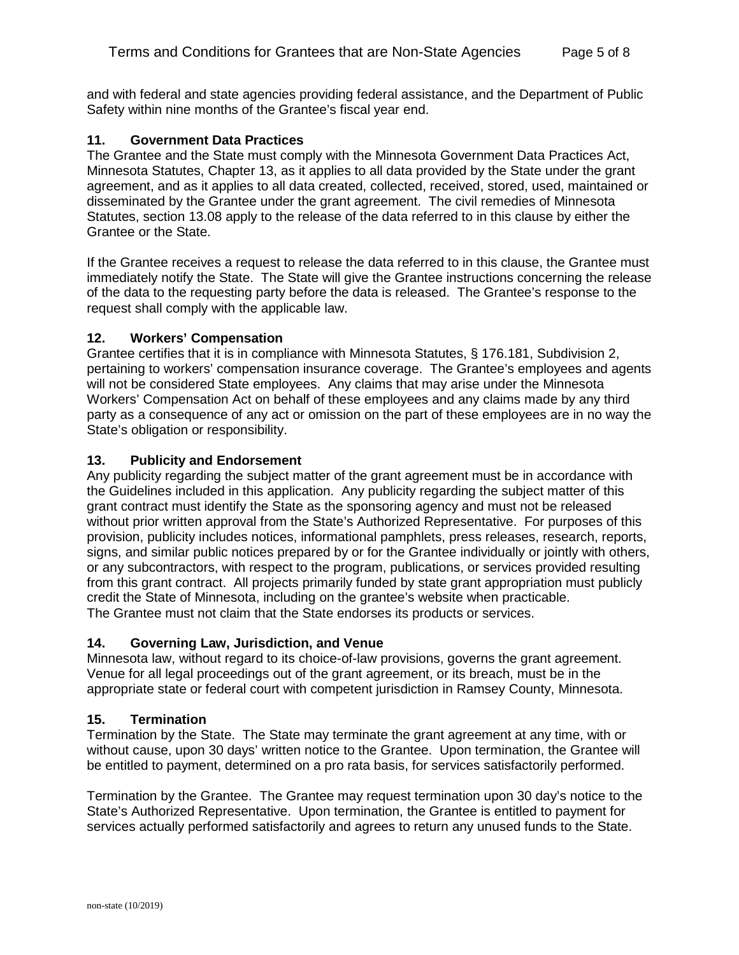and with federal and state agencies providing federal assistance, and the Department of Public Safety within nine months of the Grantee's fiscal year end.

#### **11. Government Data Practices**

The Grantee and the State must comply with the Minnesota Government Data Practices Act, Minnesota Statutes, Chapter 13, as it applies to all data provided by the State under the grant agreement, and as it applies to all data created, collected, received, stored, used, maintained or disseminated by the Grantee under the grant agreement. The civil remedies of Minnesota Statutes, section 13.08 apply to the release of the data referred to in this clause by either the Grantee or the State.

If the Grantee receives a request to release the data referred to in this clause, the Grantee must immediately notify the State. The State will give the Grantee instructions concerning the release of the data to the requesting party before the data is released. The Grantee's response to the request shall comply with the applicable law.

### **12. Workers' Compensation**

Grantee certifies that it is in compliance with Minnesota Statutes, § 176.181, Subdivision 2, pertaining to workers' compensation insurance coverage. The Grantee's employees and agents will not be considered State employees. Any claims that may arise under the Minnesota Workers' Compensation Act on behalf of these employees and any claims made by any third party as a consequence of any act or omission on the part of these employees are in no way the State's obligation or responsibility.

### **13. Publicity and Endorsement**

Any publicity regarding the subject matter of the grant agreement must be in accordance with the Guidelines included in this application. Any publicity regarding the subject matter of this grant contract must identify the State as the sponsoring agency and must not be released without prior written approval from the State's Authorized Representative. For purposes of this provision, publicity includes notices, informational pamphlets, press releases, research, reports, signs, and similar public notices prepared by or for the Grantee individually or jointly with others, or any subcontractors, with respect to the program, publications, or services provided resulting from this grant contract. All projects primarily funded by state grant appropriation must publicly credit the State of Minnesota, including on the grantee's website when practicable. The Grantee must not claim that the State endorses its products or services.

# **14. Governing Law, Jurisdiction, and Venue**

Minnesota law, without regard to its choice-of-law provisions, governs the grant agreement. Venue for all legal proceedings out of the grant agreement, or its breach, must be in the appropriate state or federal court with competent jurisdiction in Ramsey County, Minnesota.

# **15. Termination**

Termination by the State. The State may terminate the grant agreement at any time, with or without cause, upon 30 days' written notice to the Grantee. Upon termination, the Grantee will be entitled to payment, determined on a pro rata basis, for services satisfactorily performed.

Termination by the Grantee. The Grantee may request termination upon 30 day's notice to the State's Authorized Representative. Upon termination, the Grantee is entitled to payment for services actually performed satisfactorily and agrees to return any unused funds to the State.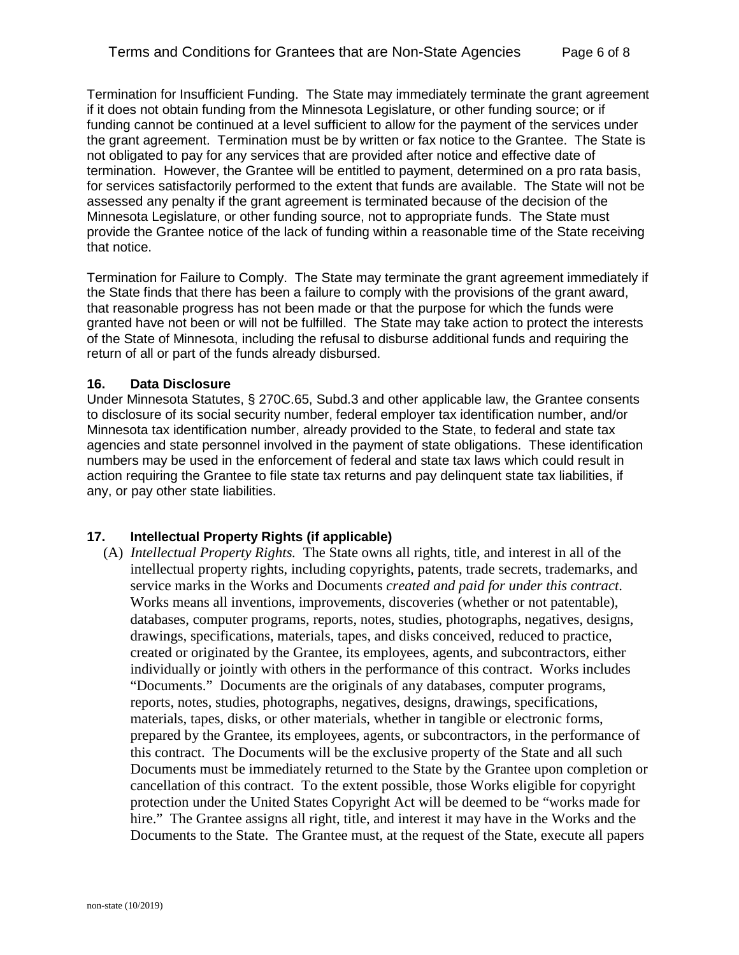Termination for Insufficient Funding. The State may immediately terminate the grant agreement if it does not obtain funding from the Minnesota Legislature, or other funding source; or if funding cannot be continued at a level sufficient to allow for the payment of the services under the grant agreement. Termination must be by written or fax notice to the Grantee. The State is not obligated to pay for any services that are provided after notice and effective date of termination. However, the Grantee will be entitled to payment, determined on a pro rata basis, for services satisfactorily performed to the extent that funds are available. The State will not be assessed any penalty if the grant agreement is terminated because of the decision of the Minnesota Legislature, or other funding source, not to appropriate funds. The State must provide the Grantee notice of the lack of funding within a reasonable time of the State receiving that notice.

Termination for Failure to Comply. The State may terminate the grant agreement immediately if the State finds that there has been a failure to comply with the provisions of the grant award, that reasonable progress has not been made or that the purpose for which the funds were granted have not been or will not be fulfilled. The State may take action to protect the interests of the State of Minnesota, including the refusal to disburse additional funds and requiring the return of all or part of the funds already disbursed.

### **16. Data Disclosure**

Under Minnesota Statutes, § 270C.65, Subd.3 and other applicable law, the Grantee consents to disclosure of its social security number, federal employer tax identification number, and/or Minnesota tax identification number, already provided to the State, to federal and state tax agencies and state personnel involved in the payment of state obligations. These identification numbers may be used in the enforcement of federal and state tax laws which could result in action requiring the Grantee to file state tax returns and pay delinquent state tax liabilities, if any, or pay other state liabilities.

# **17. Intellectual Property Rights (if applicable)**

(A) *Intellectual Property Rights.* The State owns all rights, title, and interest in all of the intellectual property rights, including copyrights, patents, trade secrets, trademarks, and service marks in the Works and Documents *created and paid for under this contract*. Works means all inventions, improvements, discoveries (whether or not patentable), databases, computer programs, reports, notes, studies, photographs, negatives, designs, drawings, specifications, materials, tapes, and disks conceived, reduced to practice, created or originated by the Grantee, its employees, agents, and subcontractors, either individually or jointly with others in the performance of this contract. Works includes "Documents." Documents are the originals of any databases, computer programs, reports, notes, studies, photographs, negatives, designs, drawings, specifications, materials, tapes, disks, or other materials, whether in tangible or electronic forms, prepared by the Grantee, its employees, agents, or subcontractors, in the performance of this contract. The Documents will be the exclusive property of the State and all such Documents must be immediately returned to the State by the Grantee upon completion or cancellation of this contract. To the extent possible, those Works eligible for copyright protection under the United States Copyright Act will be deemed to be "works made for hire." The Grantee assigns all right, title, and interest it may have in the Works and the Documents to the State. The Grantee must, at the request of the State, execute all papers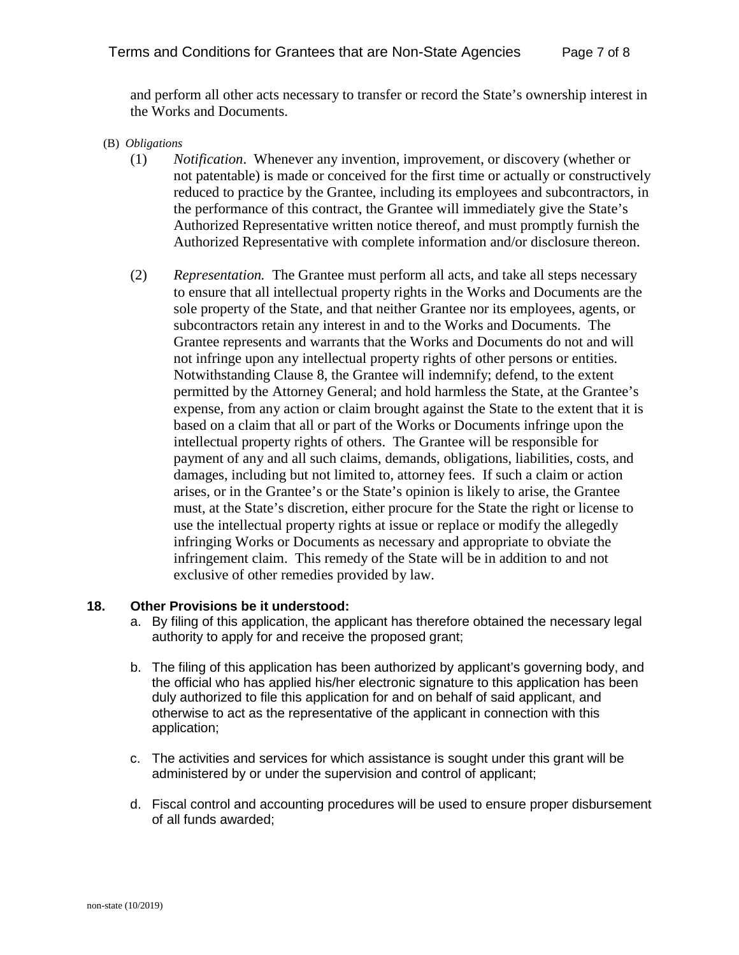and perform all other acts necessary to transfer or record the State's ownership interest in the Works and Documents.

- (B) *Obligations*
	- (1) *Notification*. Whenever any invention, improvement, or discovery (whether or not patentable) is made or conceived for the first time or actually or constructively reduced to practice by the Grantee, including its employees and subcontractors, in the performance of this contract, the Grantee will immediately give the State's Authorized Representative written notice thereof, and must promptly furnish the Authorized Representative with complete information and/or disclosure thereon.
	- (2) *Representation.* The Grantee must perform all acts, and take all steps necessary to ensure that all intellectual property rights in the Works and Documents are the sole property of the State, and that neither Grantee nor its employees, agents, or subcontractors retain any interest in and to the Works and Documents. The Grantee represents and warrants that the Works and Documents do not and will not infringe upon any intellectual property rights of other persons or entities. Notwithstanding Clause 8, the Grantee will indemnify; defend, to the extent permitted by the Attorney General; and hold harmless the State, at the Grantee's expense, from any action or claim brought against the State to the extent that it is based on a claim that all or part of the Works or Documents infringe upon the intellectual property rights of others. The Grantee will be responsible for payment of any and all such claims, demands, obligations, liabilities, costs, and damages, including but not limited to, attorney fees. If such a claim or action arises, or in the Grantee's or the State's opinion is likely to arise, the Grantee must, at the State's discretion, either procure for the State the right or license to use the intellectual property rights at issue or replace or modify the allegedly infringing Works or Documents as necessary and appropriate to obviate the infringement claim. This remedy of the State will be in addition to and not exclusive of other remedies provided by law.

#### **18. Other Provisions be it understood:**

- a. By filing of this application, the applicant has therefore obtained the necessary legal authority to apply for and receive the proposed grant;
- b. The filing of this application has been authorized by applicant's governing body, and the official who has applied his/her electronic signature to this application has been duly authorized to file this application for and on behalf of said applicant, and otherwise to act as the representative of the applicant in connection with this application;
- c. The activities and services for which assistance is sought under this grant will be administered by or under the supervision and control of applicant;
- d. Fiscal control and accounting procedures will be used to ensure proper disbursement of all funds awarded;